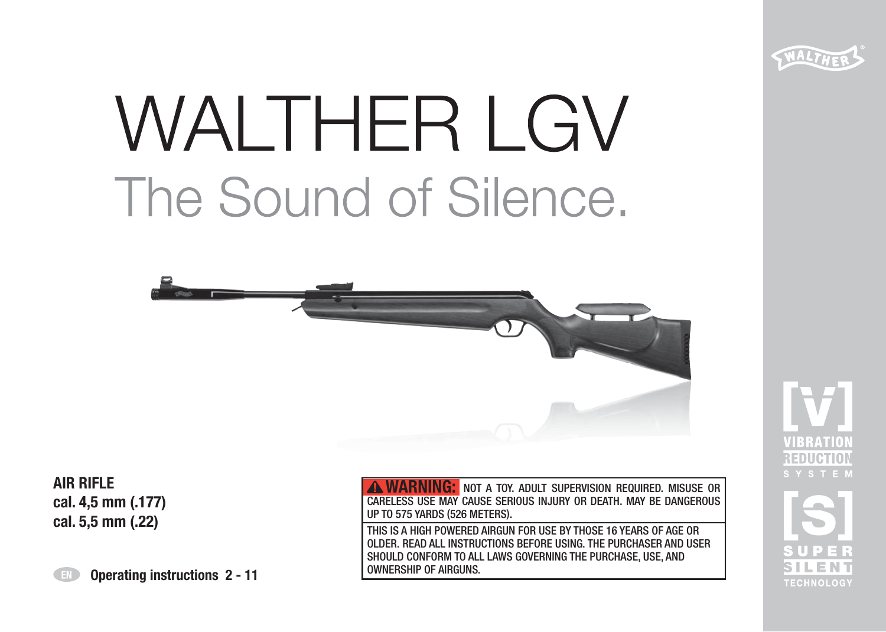

# **WALTHER LGV** The Sound of Silence.



**AIR RIFLE cal. 4,5 mm (.177) cal. 5,5 mm (.22)**

**WARNING:** NOT A TOY. ADULT SUPERVISION REQUIRED. MISUSE OR CARELESS USE MAY CAUSE SERIOUS INJURY OR DEATH. MAY BE DANGEROUS UP TO 575 YARDS (526 METERS). THIS IS A HIGH POWERED AIRGUN FOR USE BY THOSE 16 YEARS OF AGE OR OLDER. READ ALL INSTRUCTIONS BEFORE USING. THE PURCHASER AND USER SHOULD CONFORM TO ALL LAWS GOVERNING THE PURCHASE, USE, AND OWNERSHIP OF AIRGUNS.

**TECHNOLOGY** 

**Operating instructions 2 - 11**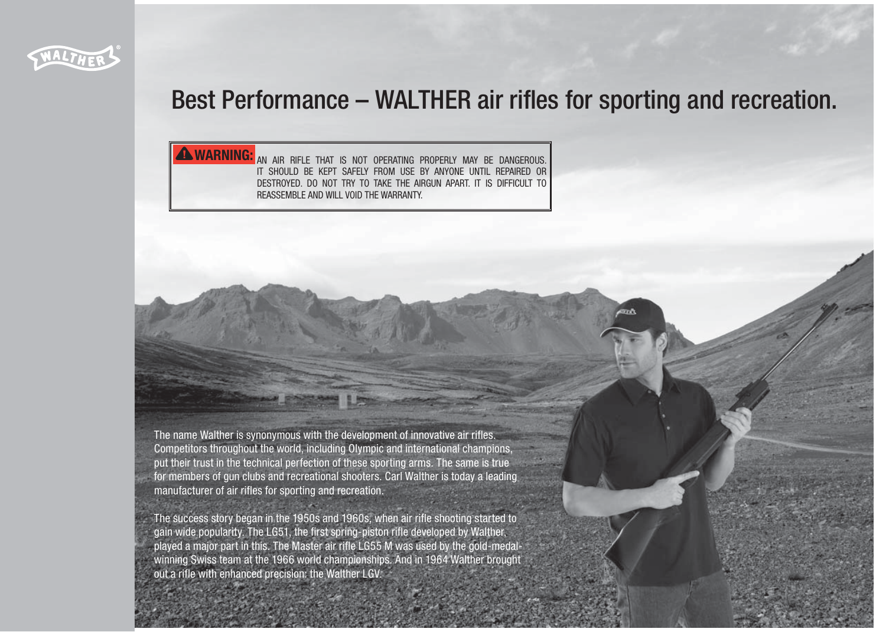

# Best Performance – WALTHER air rifles for sporting and recreation.

**WARNING:** AN AIR RIFLE THAT IS NOT OPERATING PROPERLY MAY BE DANGEROUS. IT SHOULD BE KEPT SAFELY FROM USE BY ANYONE UNTIL REPAIRED OR DESTROYED. DO NOT TRY TO TAKE THE AIRGUN APART. IT IS DIFFICULT TO REASSEMBLE AND WILL VOID THE WARRANTY.

The name Walther is synonymous with the development of innovative air rifles. Competitors throughout the world, including Olympic and international champions, put their trust in the technical perfection of these sporting arms. The same is true for members of gun clubs and recreational shooters. Carl Walther is today a leading manufacturer of air rifles for sporting and recreation.

The success story began in the 1950s and 1960s, when air rifle shooting started to gain wide popularity. The LG51, the first spring-piston rifle developed by Walther, played a major part in this. The Master air rifle LG55 M was used by the gold-medalwinning Swiss team at the 1966 world championships. And in 1964 Walther brought out a rifle with enhanced precision: the Walther LGV.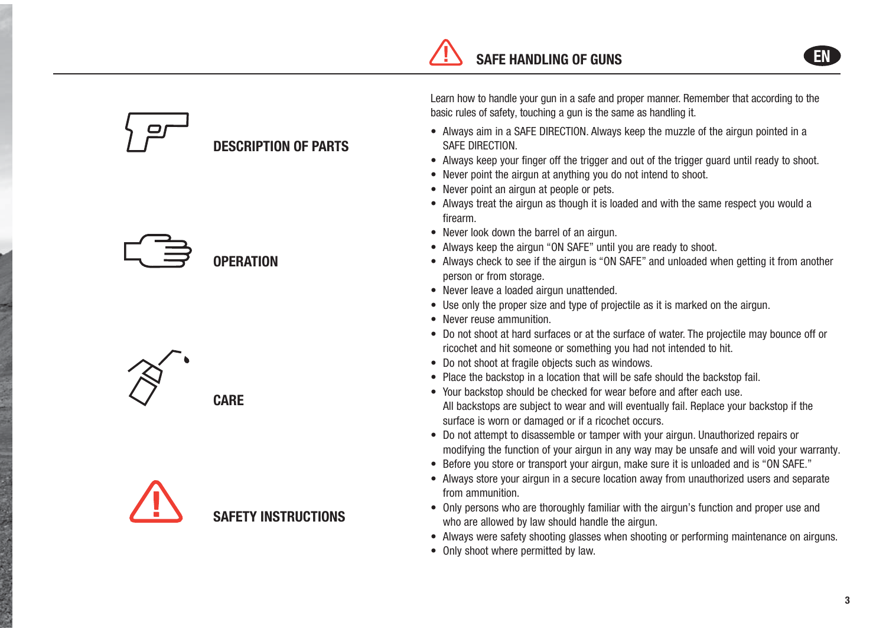# **DESCRIPTION OF PARTS**







**CARE**

Learn how to handle your gun in a safe and proper manner. Remember that according to the basic rules of safety, touching a gun is the same as handling it.

- Always aim in a SAFE DIRECTION. Always keep the muzzle of the airgun pointed in a SAFE DIRECTION.
- Always keep your finger off the trigger and out of the trigger guard until ready to shoot.
- Never point the airgun at anything you do not intend to shoot.
- Never point an airgun at people or pets.
- Always treat the airgun as though it is loaded and with the same respect you would a firearm.
- Never look down the barrel of an airgun.
- Always keep the airgun "ON SAFE" until you are ready to shoot.
- Always check to see if the airgun is "ON SAFE" and unloaded when getting it from another person or from storage.
- Never leave a loaded airgun unattended.
- Use only the proper size and type of projectile as it is marked on the airgun.
- Never reuse ammunition.
- Do not shoot at hard surfaces or at the surface of water. The projectile may bounce off or ricochet and hit someone or something you had not intended to hit.
- Do not shoot at fragile objects such as windows.
- Place the backstop in a location that will be safe should the backstop fail.
- Your backstop should be checked for wear before and after each use. All backstops are subject to wear and will eventually fail. Replace your backstop if the surface is worn or damaged or if a ricochet occurs.
- Do not attempt to disassemble or tamper with your airgun. Unauthorized repairs or modifying the function of your airgun in any way may be unsafe and will void your warranty.
- Before you store or transport your airgun, make sure it is unloaded and is "ON SAFE."
- Always store your airgun in a secure location away from unauthorized users and separate from ammunition.
- Only persons who are thoroughly familiar with the airgun's function and proper use and who are allowed by law should handle the airgun.
- Always were safety shooting glasses when shooting or performing maintenance on airguns.
- Only shoot where permitted by law.

**EN**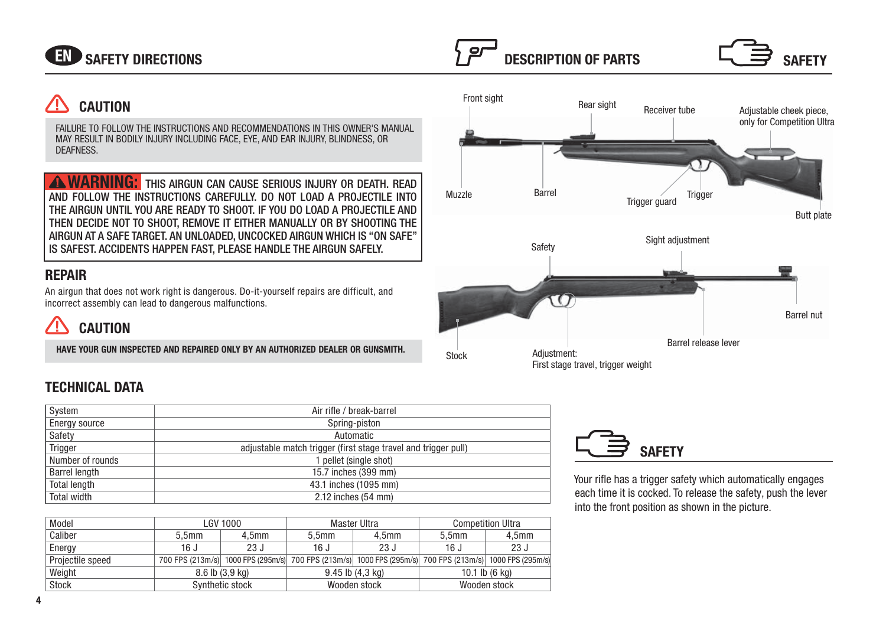

# **CAUTION**

FAILURE TO FOLLOW THE INSTRUCTIONS AND RECOMMENDATIONS IN THIS OWNER'S MANUAL MAY RESULT IN BODILY INJURY INCLUDING FACE, EYE, AND EAR INJURY, BLINDNESS, OR **DEAFNESS** 

**WARNING:** This airgun can cause serious injury or death. Read AND FOLLOW THE INSTRUCTIONS CAREFULLY. DO NOT LOAD A PROJECTILE INTO THE AIRGUN UNTIL YOU ARE READY TO SHOOT. IF YOU DO LOAD A PROJECTILE AND THEN DECIDE NOT TO SHOOT, REMOVE IT EITHER MANUALLY OR BY SHOOTING THE AIRGUN AT A SAFE TARGET. AN UNLOADED, UNCOCKED AIRGUN WHICH IS "ON SAFE" IS SAFEST. ACCIDENTS HAPPEN FAST, PLEASE HANDLE THE AIRGUN SAFELY.

# **REPAIR**

An airgun that does not work right is dangerous. Do-it-yourself repairs are difficult, and incorrect assembly can lead to dangerous malfunctions.

# **CAUTION**

**HAVE YOUR GUN INSPECTED AND REPAIRED ONLY BY AN AUTHORIZED DEALER OR GUNSMITH.**

# **TECHNICAL DATA**

| System               | Air rifle / break-barrel                                       |  |  |  |  |
|----------------------|----------------------------------------------------------------|--|--|--|--|
| Energy source        | Spring-piston                                                  |  |  |  |  |
| Safety               | Automatic                                                      |  |  |  |  |
| Trigger              | adjustable match trigger (first stage travel and trigger pull) |  |  |  |  |
| Number of rounds     | 1 pellet (single shot)                                         |  |  |  |  |
| <b>Barrel length</b> | 15.7 inches (399 mm)                                           |  |  |  |  |
| <b>Total length</b>  | 43.1 inches (1095 mm)                                          |  |  |  |  |
| Total width          | 2.12 inches (54 mm)                                            |  |  |  |  |

| Model            | LGV 1000            |                   |                                                                                                          | Master Ultra      | <b>Competition Ultra</b> |                   |
|------------------|---------------------|-------------------|----------------------------------------------------------------------------------------------------------|-------------------|--------------------------|-------------------|
| Caliber          | 5,5 <sub>mm</sub>   | 4.5 <sub>mm</sub> | 5.5 <sub>mm</sub>                                                                                        | 4.5 <sub>mm</sub> | 5.5 <sub>mm</sub>        | 4.5 <sub>mm</sub> |
| Energy           | 16 J                | 23J               | 16J                                                                                                      | 23J               | 16J                      | 23J               |
| Projectile speed |                     |                   | 700 FPS (213m/s) 1000 FPS (295m/s) 700 FPS (213m/s) 1000 FPS (295m/s) 700 FPS (213m/s) 1000 FPS (295m/s) |                   |                          |                   |
| Weight           | $8.6$ lb $(3.9$ kg) |                   | $9.45$ lb $(4.3$ kg)                                                                                     |                   | 10.1 lb $(6 \text{ kg})$ |                   |
| Stock            | Synthetic stock     |                   | Wooden stock                                                                                             |                   | Wooden stock             |                   |





Your rifle has a trigger safety which automatically engages each time it is cocked. To release the safety, push the lever into the front position as shown in the picture.

**SAFETY**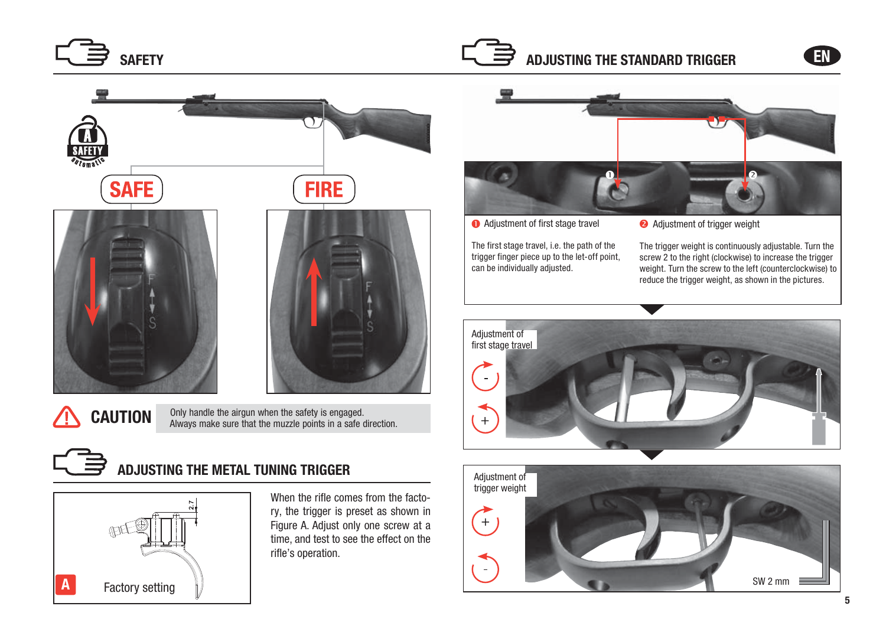







When the rifle comes from the factory, the trigger is preset as shown in Figure A. Adjust only one screw at a time, and test to see the effect on the rifle's operation.



**Adjustment of first stage travel** 

The first stage travel, i.e. the path of the trigger finger piece up to the let-off point, can be individually adjusted.

**Adjustment of trigger weight** 

The trigger weight is continuously adjustable. Turn the screw 2 to the right (clockwise) to increase the trigger weight. Turn the screw to the left (counterclockwise) to reduce the trigger weight, as shown in the pictures.



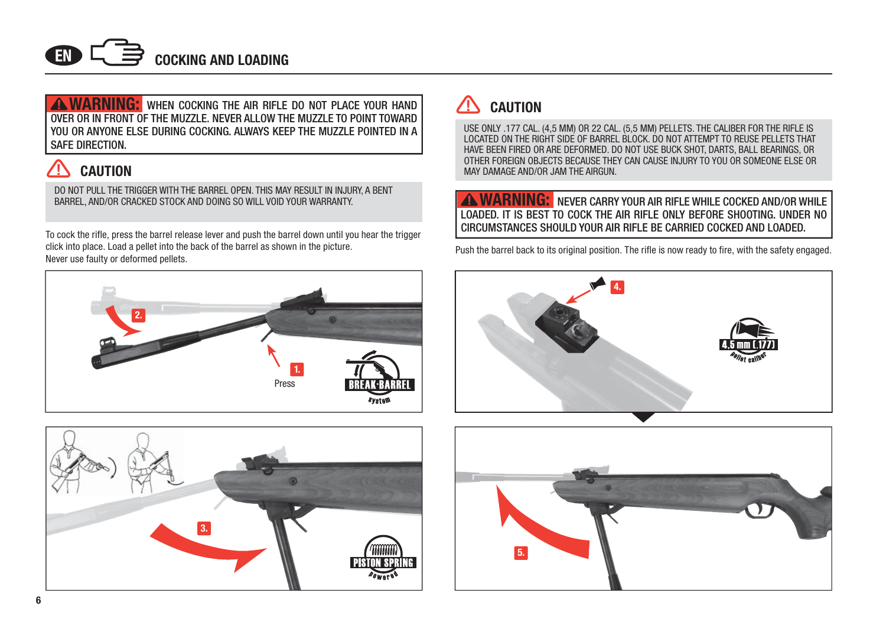

**WARNING:** when cocking the air rifle do not place your hand OVER OR IN FRONT OF THE MUZZLE. NEVER ALLOW THE MUZZLE TO POINT TOWARD YOU OR ANYONE ELSE DURING COCKING. ALWAYS KEEP THE MUZZLE POINTED IN A SAFE DIRECTION.

# **CAUTION**

DO NOT PULL THE TRIGGER WITH THE BARREL OPEN. THIS MAY RESULT IN INJURY, A BENT BARREL, AND/OR CRACKED STOCK AND DOING SO WILL VOID YOUR WARRANTY.

To cock the rifle, press the barrel release lever and push the barrel down until you hear the trigger click into place. Load a pellet into the back of the barrel as shown in the picture. Never use faulty or deformed pellets.





#### ΛN **CAUTION**

USE ONLY .177 CAL. (4,5 MM) OR 22 CAL. (5,5 MM) PELLETS. THE CALIBER FOR THE RIFLE IS LOCATED ON THE RIGHT SIDE OF BARREL BLOCK. DO NOT ATTEMPT TO REUSE PELLETS THAT HAVE BEEN FIRED OR ARE DEFORMED. DO NOT USE BUCK SHOT, DARTS, BALL BEARINGS, OR OTHER FOREIGN OBJECTS BECAUSE THEY CAN CAUSE INJURY TO YOU OR SOMEONE ELSE OR MAY DAMAGE AND/OR JAM THE AIRGUN.

**WARNING:** NEVER CARRY YOUR AIR RIFLE WHILE COCKED AND/OR WHILE LOADED. IT IS BEST TO COCK THE AIR RIFLE ONLY BEFORE SHOOTING. UNDER NO CIRCUMSTANCES SHOULD YOUR AIR RIFLE BE CARRIED COCKED AND LOADED.

Push the barrel back to its original position. The rifle is now ready to fire, with the safety engaged.



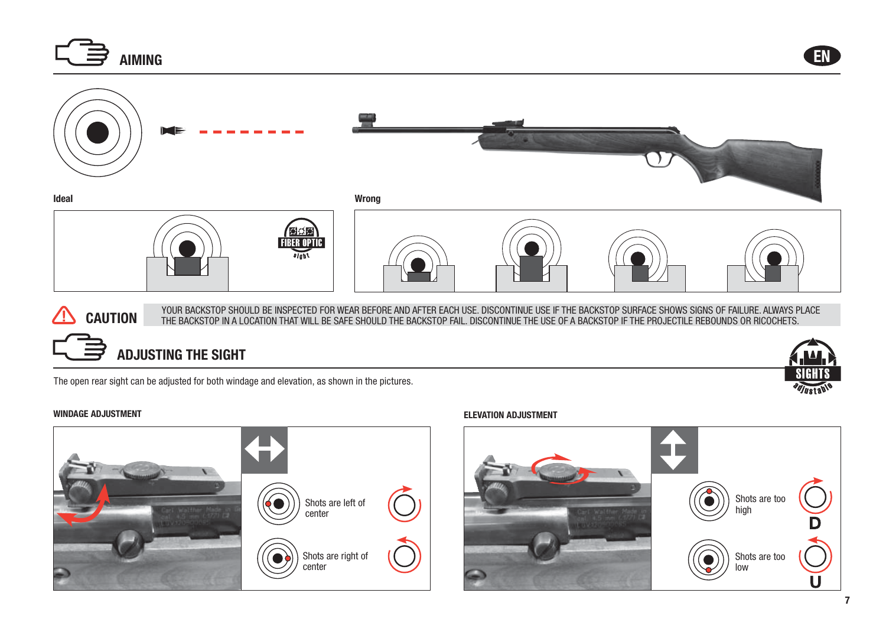

# **ADJUSTING THE SIGHT**

The open rear sight can be adjusted for both windage and elevation, as shown in the pictures.



#### **WINDAGE ADJUSTMENT ELEVATION ADJUSTMENT**

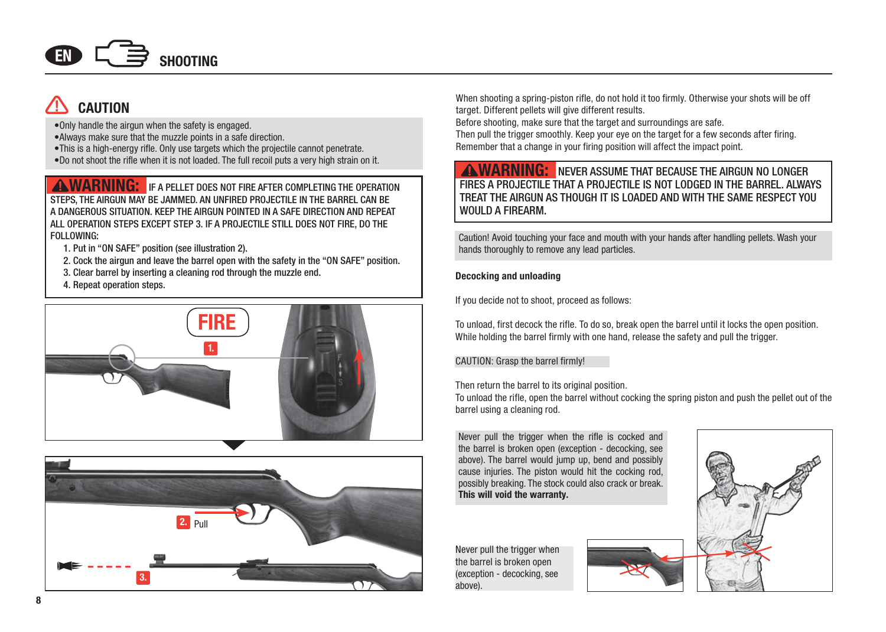

# **CAUTION**

- •Only handle the airgun when the safety is engaged.
- •Always make sure that the muzzle points in a safe direction.
- •This is a high-energy rifle. Only use targets which the projectile cannot penetrate.
- •Do not shoot the rifle when it is not loaded. The full recoil puts a very high strain on it.

**AWARNING:** IF A PELLET DOES NOT FIRE AFTER COMPLETING THE OPERATION STEPS, THE AIRGUN MAY BE JAMMED. AN UNFIRED PROJECTILE IN THE BARREL CAN BE A DANGEROUS SITUATION. KEEP THE AIRGUN POINTED IN A SAFE DIRECTION AND REPEAT ALL OPERATION STEPS EXCEPT STEP 3. IF A PROJECTILE STILL DOES NOT FIRE, DO THE FOLLOWING:

- 1. Put in "ON SAFE" position (see illustration 2).
- 2. Cock the airgun and leave the barrel open with the safety in the "ON SAFE" position.
- 3. Clear barrel by inserting a cleaning rod through the muzzle end.
- 4. Repeat operation steps.





When shooting a spring-piston rifle, do not hold it too firmly. Otherwise your shots will be off target. Different pellets will give different results.

Before shooting, make sure that the target and surroundings are safe.

Then pull the trigger smoothly. Keep your eye on the target for a few seconds after firing. Remember that a change in your firing position will affect the impact point.

# **WARNING:** NEVER ASSUME THAT BECAUSE THE AIRGUN NO LONGER FIRES A PROJECTILE THAT A PROJECTILE IS NOT LODGED IN THE BARREL. ALWAYS TREAT THE AIRGUN AS THOUGH IT IS LOADED AND WITH THE SAME RESPECT YOU WOULD A FIREARM.

Caution! Avoid touching your face and mouth with your hands after handling pellets. Wash your hands thoroughly to remove any lead particles.

#### **Decocking and unloading**

If you decide not to shoot, proceed as follows:

To unload, first decock the rifle. To do so, break open the barrel until it locks the open position. While holding the barrel firmly with one hand, release the safety and pull the trigger.

#### CAUTION: Grasp the barrel firmly!

Then return the barrel to its original position.

To unload the rifle, open the barrel without cocking the spring piston and push the pellet out of the barrel using a cleaning rod.

Never pull the trigger when the rifle is cocked and the barrel is broken open (exception - decocking, see above). The barrel would jump up, bend and possibly cause injuries. The piston would hit the cocking rod, possibly breaking. The stock could also crack or break. **This will void the warranty.**

Never pull the trigger when the barrel is broken open (exception - decocking, see above).



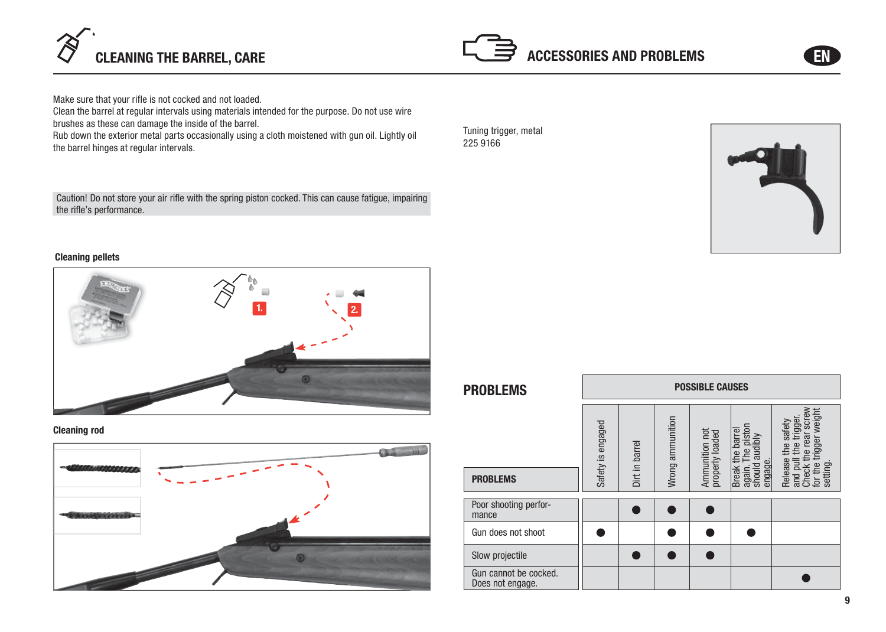



Make sure that your rifle is not cocked and not loaded.

Clean the barrel at regular intervals using materials intended for the purpose. Do not use wire brushes as these can damage the inside of the barrel.

Rub down the exterior metal parts occasionally using a cloth moistened with gun oil. Lightly oil the barrel hinges at regular intervals.

Caution! Do not store your air rifle with the spring piston cocked. This can cause fatigue, impairing the rifle's performance.

Tuning trigger, metal 225 9166



### **Cleaning pellets**



## **Cleaning rod**



| <b>PROBLEMS</b>                           | <b>POSSIBLE CAUSES</b> |                |                  |                                   |                                                                                              |                                                                                                      |  |  |
|-------------------------------------------|------------------------|----------------|------------------|-----------------------------------|----------------------------------------------------------------------------------------------|------------------------------------------------------------------------------------------------------|--|--|
| <b>PROBLEMS</b>                           | Safety is engaged      | Dirt in barrel | Wrong ammunition | Ammunition not<br>properly loaded | piston<br>barrel<br>audibly<br><b>The</b><br>e<br>engage.<br>should<br><b>Break</b><br>again | gger weight<br><b>SCrey</b><br>triggen<br>safety<br>ਕ਼<br>the<br>Release<br>setting<br>and<br>동<br>ē |  |  |
| Poor shooting perfor-<br>mance            |                        |                |                  |                                   |                                                                                              |                                                                                                      |  |  |
| Gun does not shoot                        |                        |                |                  |                                   |                                                                                              |                                                                                                      |  |  |
| Slow projectile                           |                        |                |                  |                                   |                                                                                              |                                                                                                      |  |  |
| Gun cannot be cocked.<br>Does not engage. |                        |                |                  |                                   |                                                                                              |                                                                                                      |  |  |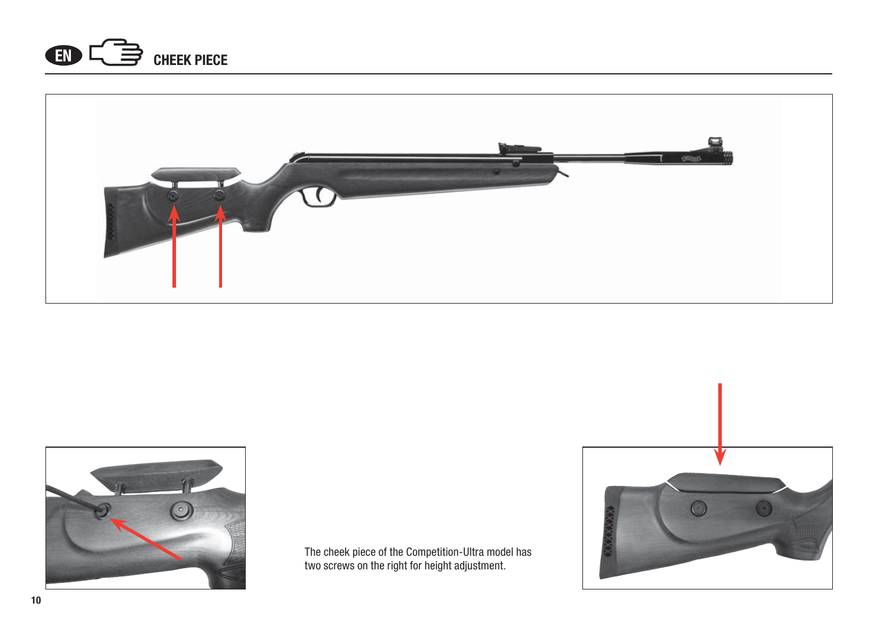





The cheek piece of the Competition-Ultra model has two screws on the right for height adjustment.

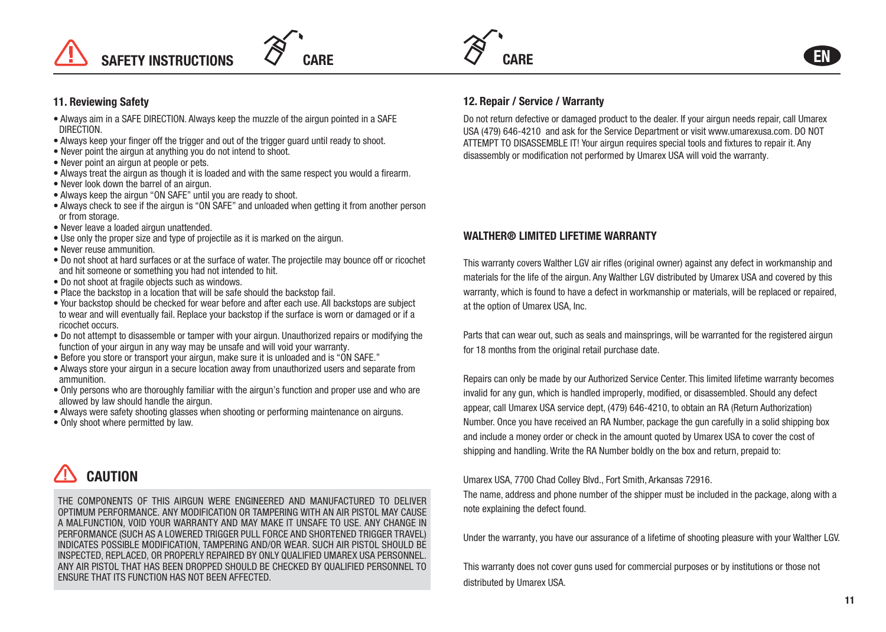



**EN**

### **11. Reviewing Safety**

- Always aim in a SAFE DIRECTION. Always keep the muzzle of the airgun pointed in a SAFE DIRECTION.
- Always keep your finger off the trigger and out of the trigger guard until ready to shoot.
- Never point the airgun at anything you do not intend to shoot.
- Never point an airgun at people or pets.
- Always treat the airgun as though it is loaded and with the same respect you would a firearm.
- Never look down the barrel of an airgun.
- Always keep the airgun "ON SAFE" until you are ready to shoot.
- Always check to see if the airgun is "ON SAFE" and unloaded when getting it from another person or from storage.
- Never leave a loaded airgun unattended.
- Use only the proper size and type of projectile as it is marked on the airgun.
- Never reuse ammunition.
- Do not shoot at hard surfaces or at the surface of water. The projectile may bounce off or ricochet and hit someone or something you had not intended to hit.
- Do not shoot at fragile objects such as windows.
- Place the backstop in a location that will be safe should the backstop fail.
- Your backstop should be checked for wear before and after each use. All backstops are subject to wear and will eventually fail. Replace your backstop if the surface is worn or damaged or if a ricochet occurs.
- Do not attempt to disassemble or tamper with your airgun. Unauthorized repairs or modifying the function of your airgun in any way may be unsafe and will void your warranty.
- Before you store or transport your airgun, make sure it is unloaded and is "ON SAFE."
- Always store your airgun in a secure location away from unauthorized users and separate from ammunition
- Only persons who are thoroughly familiar with the airgun's function and proper use and who are allowed by law should handle the airgun.
- Always were safety shooting glasses when shooting or performing maintenance on airguns.
- Only shoot where permitted by law.



THE COMPONENTS OF THIS AIRGUN WERE ENGINEERED AND MANUFACTURED TO DELIVER OPTIMUM PERFORMANCE. ANY MODIFICATION OR TAMPERING WITH AN AIR PISTOL MAY CAUSE A MALFUNCTION, VOID YOUR WARRANTY AND MAY MAKE IT UNSAFE TO USE. ANY CHANGE IN PERFORMANCE (SUCH AS A LOWERED TRIGGER PULL FORCE AND SHORTENED TRIGGER TRAVEL) INDICATES POSSIBLE MODIFICATION, TAMPERING AND/OR WEAR. SUCH AIR PISTOL SHOULD BE INSPECTED, REPLACED, OR PROPERLY REPAIRED BY ONLY QUALIFIED UMAREX USA PERSONNEL. ANY AIR PISTOL THAT HAS BEEN DROPPED SHOULD BE CHECKED BY QUALIFIED PERSONNEL TO ENSURE THAT ITS FUNCTION HAS NOT BEEN AFFECTED.

# **12. Repair / Service / Warranty**

Do not return defective or damaged product to the dealer. If your airgun needs repair, call Umarex USA (479) 646-4210 and ask for the Service Department or visit www.umarexusa.com. DO NOT ATTEMPT TO DISASSEMBLE IT! Your airgun requires special tools and fixtures to repair it. Any disassembly or modification not performed by Umarex USA will void the warranty.

# **WALTHER® LIMITED LIFETIME WARRANTY**

This warranty covers Walther LGV air rifles (original owner) against any defect in workmanship and materials for the life of the airgun. Any Walther LGV distributed by Umarex USA and covered by this warranty, which is found to have a defect in workmanship or materials, will be replaced or repaired, at the option of Umarex USA, Inc.

Parts that can wear out, such as seals and mainsprings, will be warranted for the registered airgun for 18 months from the original retail purchase date.

Repairs can only be made by our Authorized Service Center. This limited lifetime warranty becomes invalid for any gun, which is handled improperly, modified, or disassembled. Should any defect appear, call Umarex USA service dept, (479) 646-4210, to obtain an RA (Return Authorization) Number. Once you have received an RA Number, package the gun carefully in a solid shipping box and include a money order or check in the amount quoted by Umarex USA to cover the cost of shipping and handling. Write the RA Number boldly on the box and return, prepaid to:

#### Umarex USA, 7700 Chad Colley Blvd., Fort Smith, Arkansas 72916.

The name, address and phone number of the shipper must be included in the package, along with a note explaining the defect found.

Under the warranty, you have our assurance of a lifetime of shooting pleasure with your Walther LGV.

This warranty does not cover guns used for commercial purposes or by institutions or those not distributed by Umarex USA.